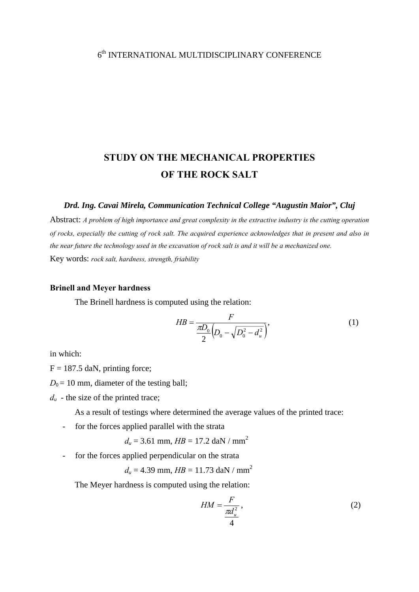# $6^{\rm th}$  INTERNATIONAL MULTIDISCIPLINARY CONFERENCE

# **STUDY ON THE MECHANICAL PROPERTIES OF THE ROCK SALT**

#### *Drd. Ing. Cavai Mirela, Communication Technical College "Augustin Maior", Cluj*

Abstract: *A problem of high importance and great complexity in the extractive industry is the cutting operation of rocks, especially the cutting of rock salt. The acquired experience acknowledges that in present and also in the near future the technology used in the excavation of rock salt is and it will be a mechanized one.*  Key words: *rock salt, hardness, strength, friability*

#### **Brinell and Meyer hardness**

The Brinell hardness is computed using the relation:

$$
HB = \frac{F}{\frac{\pi D_0}{2} \left( D_0 - \sqrt{D_0^2 - d_u^2} \right)},
$$
\n(1)

in which:

 $F = 187.5$  daN, printing force;

 $D_0 = 10$  mm, diameter of the testing ball;

 $d<sub>u</sub>$  - the size of the printed trace;

As a result of testings where determined the average values of the printed trace:

- for the forces applied parallel with the strata

$$
d_u
$$
 = 3.61 mm,  $HB$  = 17.2 daN / mm<sup>2</sup>

- for the forces applied perpendicular on the strata

$$
d_u = 4.39
$$
 mm,  $HB = 11.73$  daN / mm<sup>2</sup>

The Meyer hardness is computed using the relation:

$$
HM = \frac{F}{\frac{\pi d_u^2}{4}},\tag{2}
$$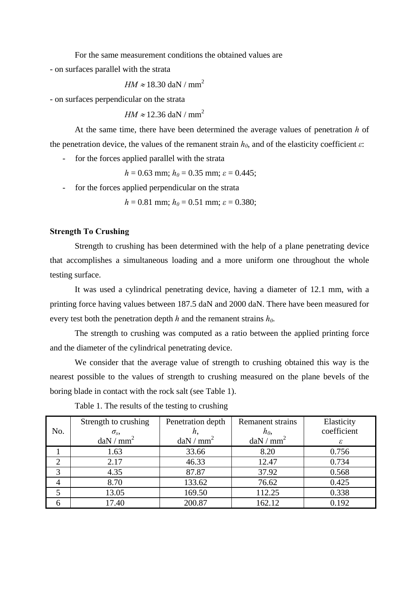For the same measurement conditions the obtained values are

- on surfaces parallel with the strata

$$
HM \approx 18.30
$$
 daN / mm<sup>2</sup>

- on surfaces perpendicular on the strata

$$
HM \approx 12.36
$$
 daN / mm<sup>2</sup>

At the same time, there have been determined the average values of penetration *h* of the penetration device, the values of the remanent strain  $h_0$ , and of the elasticity coefficient  $\varepsilon$ :

- for the forces applied parallel with the strata

 $h = 0.63$  mm;  $h_0 = 0.35$  mm;  $\varepsilon = 0.445$ ;

- for the forces applied perpendicular on the strata

 $h = 0.81$  mm;  $h_0 = 0.51$  mm;  $\varepsilon = 0.380$ ;

# **Strength To Crushing**

 Strength to crushing has been determined with the help of a plane penetrating device that accomplishes a simultaneous loading and a more uniform one throughout the whole testing surface.

It was used a cylindrical penetrating device, having a diameter of 12.1 mm, with a printing force having values between 187.5 daN and 2000 daN. There have been measured for every test both the penetration depth *h* and the remanent strains  $h_0$ .

The strength to crushing was computed as a ratio between the applied printing force and the diameter of the cylindrical penetrating device.

We consider that the average value of strength to crushing obtained this way is the nearest possible to the values of strength to crushing measured on the plane bevels of the boring blade in contact with the rock salt (see Table 1).

|     | Strength to crushing     | Penetration depth        | <b>Remanent strains</b>  | Elasticity  |
|-----|--------------------------|--------------------------|--------------------------|-------------|
| No. | $\sigma_{s}$             |                          | $h_0$                    | coefficient |
|     | $\text{daN}/\text{mm}^2$ | $\text{daN}/\text{mm}^2$ | $\text{daN}/\text{mm}^2$ | ε           |
|     | 1.63                     | 33.66                    | 8.20                     | 0.756       |
|     | 2.17                     | 46.33                    | 12.47                    | 0.734       |
| 3   | 4.35                     | 87.87                    | 37.92                    | 0.568       |
| 4   | 8.70                     | 133.62                   | 76.62                    | 0.425       |
|     | 13.05                    | 169.50                   | 112.25                   | 0.338       |
|     | 17.40                    | 200.87                   | 162.12                   | 0.192       |

Table 1. The results of the testing to crushing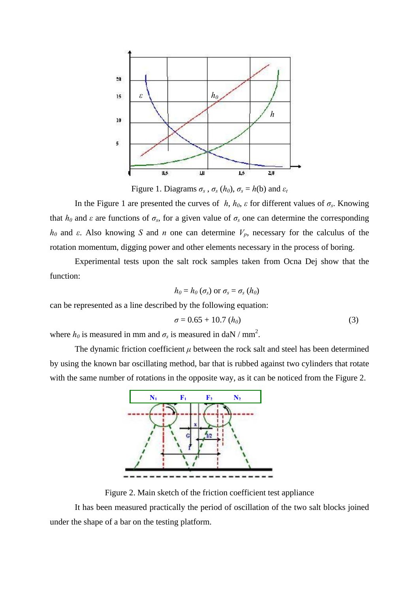

Figure 1. Diagrams  $\sigma_s$ ,  $\sigma_s$  ( $h_0$ ),  $\sigma_s = h(b)$  and  $\varepsilon_t$ 

In the Figure 1 are presented the curves of *h*,  $h_0$ ,  $\varepsilon$  for different values of  $\sigma_s$ . Knowing that  $h_0$  and  $\varepsilon$  are functions of  $\sigma_s$ , for a given value of  $\sigma_s$  one can determine the corresponding *h<sub>0</sub>* and *ε*. Also knowing *S* and *n* one can determine  $V_p$ , necessary for the calculus of the rotation momentum, digging power and other elements necessary in the process of boring.

Experimental tests upon the salt rock samples taken from Ocna Dej show that the function:

$$
h_0 = h_0 \left( \sigma_s \right) \text{ or } \sigma_s = \sigma_s \left( h_0 \right)
$$

can be represented as a line described by the following equation:

$$
\sigma = 0.65 + 10.7 \ (h_0)
$$
 (3)

where  $h_0$  is measured in mm and  $\sigma_s$  is measured in daN / mm<sup>2</sup>.

The dynamic friction coefficient  $\mu$  between the rock salt and steel has been determined by using the known bar oscillating method, bar that is rubbed against two cylinders that rotate with the same number of rotations in the opposite way, as it can be noticed from the Figure 2.



Figure 2. Main sketch of the friction coefficient test appliance

It has been measured practically the period of oscillation of the two salt blocks joined under the shape of a bar on the testing platform.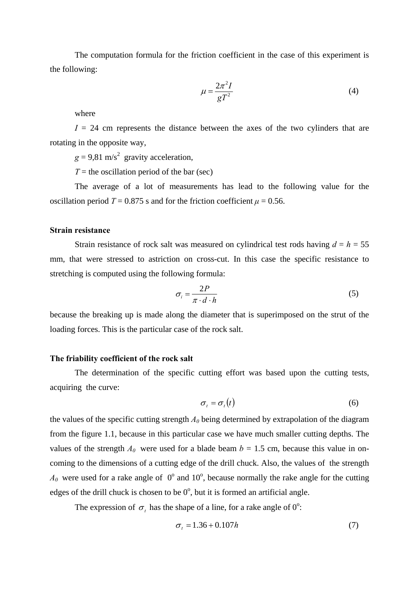The computation formula for the friction coefficient in the case of this experiment is the following:

$$
\mu = \frac{2\pi^2 I}{gT^2} \tag{4}
$$

where

 $I = 24$  cm represents the distance between the axes of the two cylinders that are rotating in the opposite way,

 $g = 9.81$  m/s<sup>2</sup> gravity acceleration,

 $T =$  the oscillation period of the bar (sec)

The average of a lot of measurements has lead to the following value for the oscillation period  $T = 0.875$  s and for the friction coefficient  $\mu = 0.56$ .

# **Strain resistance**

Strain resistance of rock salt was measured on cylindrical test rods having  $d = h = 55$ mm, that were stressed to astriction on cross-cut. In this case the specific resistance to stretching is computed using the following formula:

$$
\sigma_i = \frac{2P}{\pi \cdot d \cdot h} \tag{5}
$$

because the breaking up is made along the diameter that is superimposed on the strut of the loading forces. This is the particular case of the rock salt.

# **The friability coefficient of the rock salt**

The determination of the specific cutting effort was based upon the cutting tests, acquiring the curve:

$$
\sigma_t = \sigma_t(t) \tag{6}
$$

the values of the specific cutting strength  $A_0$  being determined by extrapolation of the diagram from the figure 1.1, because in this particular case we have much smaller cutting depths. The values of the strength  $A_0$  were used for a blade beam  $b = 1.5$  cm, because this value in oncoming to the dimensions of a cutting edge of the drill chuck. Also, the values of the strength  $A_0$  were used for a rake angle of  $0^{\circ}$  and  $10^{\circ}$ , because normally the rake angle for the cutting edges of the drill chuck is chosen to be  $0^{\circ}$ , but it is formed an artificial angle.

The expression of  $\sigma_t$  has the shape of a line, for a rake angle of  $0^\circ$ .

$$
\sigma_t = 1.36 + 0.107h\tag{7}
$$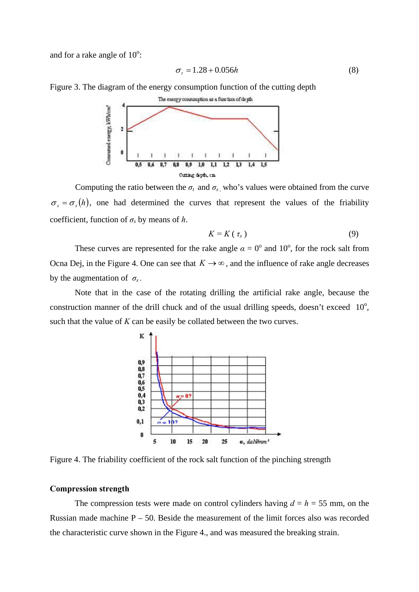and for a rake angle of  $10^{\circ}$ :

$$
\sigma_t = 1.28 + 0.056h \tag{8}
$$

Figure 3. The diagram of the energy consumption function of the cutting depth



Computing the ratio between the  $\sigma_t$  and  $\sigma_s$ , who's values were obtained from the curve  $\sigma_s = \sigma_s(h)$ , one had determined the curves that represent the values of the friability coefficient, function of  $\sigma_s$  by means of *h*.

$$
K=K\left(\tau_{s}\right) \tag{9}
$$

These curves are represented for the rake angle  $\alpha = 0^{\circ}$  and 10<sup>o</sup>, for the rock salt from Ocna Dej, in the Figure 4. One can see that  $K \to \infty$ , and the influence of rake angle decreases by the augmentation of  $\sigma_s$ .

 Note that in the case of the rotating drilling the artificial rake angle, because the construction manner of the drill chuck and of the usual drilling speeds, doesn't exceed  $10^{\circ}$ , such that the value of *K* can be easily be collated between the two curves.



Figure 4. The friability coefficient of the rock salt function of the pinching strength

#### **Compression strength**

The compression tests were made on control cylinders having  $d = h = 55$  mm, on the Russian made machine  $P - 50$ . Beside the measurement of the limit forces also was recorded the characteristic curve shown in the Figure 4., and was measured the breaking strain.